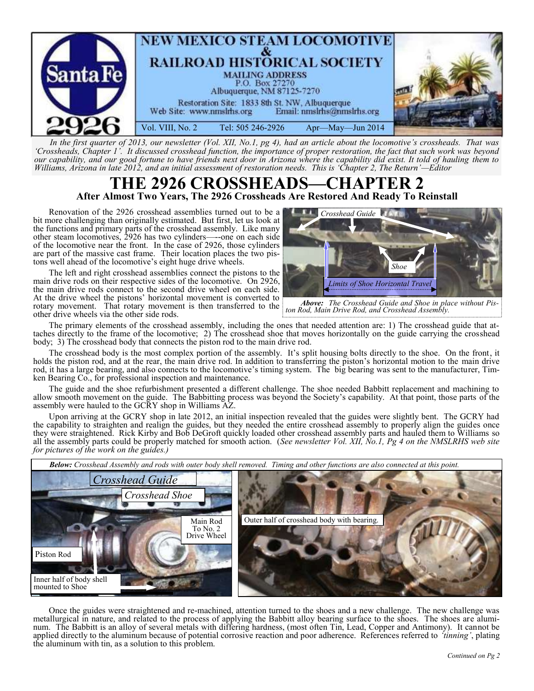

*In the first quarter of 2013, our newsletter (Vol. XII, No.1, pg 4), had an article about the locomotive's crossheads. That was 'Crossheads, Chapter 1'. It discussed crosshead function, the importance of proper restoration, the fact that such work was beyond our capability, and our good fortune to have friends next door in Arizona where the capability did exist. It told of hauling them to Williams, Arizona in late 2012, and an initial assessment of restoration needs. This is 'Chapter 2, The Return'—Editor*

## **THE 2926 CROSSHEADS—CHAPTER 2 After Almost Two Years, The 2926 Crossheads Are Restored And Ready To Reinstall**

Renovation of the 2926 crosshead assemblies turned out to be a bit more challenging than originally estimated. But first, let us look at the functions and primary parts of the crosshead assembly. Like many other steam locomotives, 2926 has two cylinders—--one on each side of the locomotive near the front. In the case of 2926, those cylinders are part of the massive cast frame. Their location places the two pistons well ahead of the locomotive's eight huge drive wheels.

The left and right crosshead assemblies connect the pistons to the main drive rods on their respective sides of the locomotive. On 2926, the main drive rods connect to the second drive wheel on each side. At the drive wheel the pistons' horizontal movement is converted to rotary movement. That rotary movement is then transferred to the other drive wheels via the other side rods.



*Above: The Crosshead Guide and Shoe in place without Piston Rod, Main Drive Rod, and Crosshead Assembly.* 

The primary elements of the crosshead assembly, including the ones that needed attention are: 1) The crosshead guide that attaches directly to the frame of the locomotive; 2) The crosshead shoe that moves horizontally on the guide carrying the crosshead body; 3) The crosshead body that connects the piston rod to the main drive rod.

The crosshead body is the most complex portion of the assembly. It's split housing bolts directly to the shoe. On the front, it holds the piston rod, and at the rear, the main drive rod. In addition to transferring the piston's horizontal motion to the main drive rod, it has a large bearing, and also connects to the locomotive's timing system. The big bearing was sent to the manufacturer, Timken Bearing Co., for professional inspection and maintenance.

The guide and the shoe refurbishment presented a different challenge. The shoe needed Babbitt replacement and machining to allow smooth movement on the guide. The Babbitting process was beyond the Society's capability. At that point, those parts of the assembly were hauled to the GCRY shop in Williams AZ.

Upon arriving at the GCRY shop in late 2012, an initial inspection revealed that the guides were slightly bent. The GCRY had the capability to straighten and realign the guides, but they needed the entire crosshead assembly to properly align the guides once they were straightened. Rick Kirby and Bob DeGroft quickly loaded other crosshead assembly parts and hauled them to Williams so all the assembly parts could be properly matched for smooth action. (*See newsletter Vol. XII, No.1, Pg 4 on the NMSLRHS web site for pictures of the work on the guides.)* 



Once the guides were straightened and re-machined, attention turned to the shoes and a new challenge. The new challenge was metallurgical in nature, and related to the process of applying the Babbitt alloy bearing surface to the shoes. The shoes are aluminum. The Babbitt is an alloy of several metals with differing hardness, (most often Tin, Lead, Copper and Antimony). It cannot be applied directly to the aluminum because of potential corrosive reaction and poor adherence. References referred to *'tinning'*, plating the aluminum with tin, as a solution to this problem.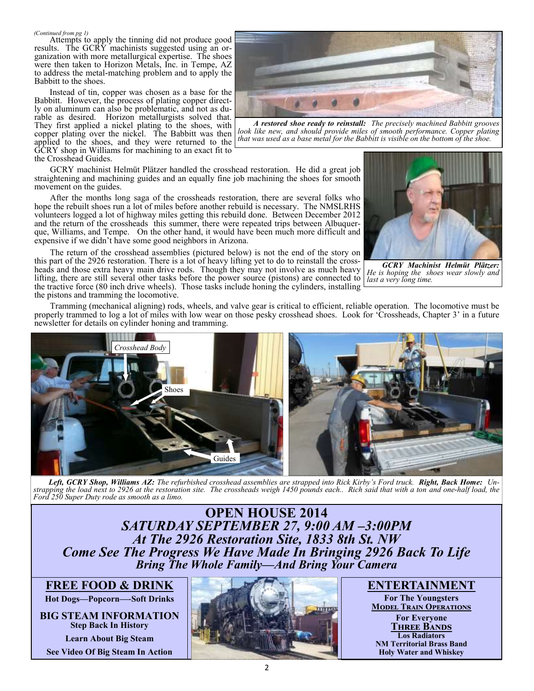*(Continued from pg 1)* Attempts to apply the tinning did not produce good results. The GCRY machinists suggested using an organization with more metallurgical expertise. The shoes were then taken to Horizon Metals, Inc. in Tempe, AZ to address the metal-matching problem and to apply the Babbitt to the shoes.

Instead of tin, copper was chosen as a base for the Babbitt. However, the process of plating copper directly on aluminum can also be problematic, and not as durable as desired. Horizon metallurgists solved that. They first applied a nickel plating to the shoes, with copper plating over the nickel. The Babbitt was then applied to the shoes, and they were returned to the GCRY shop in Williams for machining to an exact fit to the Crosshead Guides.



*A restored shoe ready to reinstall: The precisely machined Babbitt grooves look like new, and should provide miles of smooth performance. Copper plating that was used as a base metal for the Babbitt is visible on the bottom of the shoe.* 

GCRY machinist Helmüt Plätzer handled the crosshead restoration. He did a great job straightening and machining guides and an equally fine job machining the shoes for smooth movement on the guides.

After the months long saga of the crossheads restoration, there are several folks who hope the rebuilt shoes run a lot of miles before another rebuild is necessary. The NMSLRHS volunteers logged a lot of highway miles getting this rebuild done. Between December 2012 and the return of the crossheads this summer, there were repeated trips between Albuquerque, Williams, and Tempe. On the other hand, it would have been much more difficult and expensive if we didn't have some good neighbors in Arizona.

The return of the crosshead assemblies (pictured below) is not the end of the story on this part of the 2926 restoration. There is a lot of heavy lifting yet to do to reinstall the crossheads and those extra heavy main drive rods. Though they may not involve as much heavy lifting, there are still several other tasks before the power source (pistons) are connected to the tractive force (80 inch drive wheels). Those tasks include honing the cylinders, installing the pistons and tramming the locomotive.



*GCRY Machinist Helmüt Plätzer: He is hoping the shoes wear slowly and*  last a very long time.

Tramming (mechanical aligning) rods, wheels, and valve gear is critical to efficient, reliable operation. The locomotive must be properly trammed to log a lot of miles with low wear on those pesky crosshead shoes. Look for 'Crossheads, Chapter 3' in a future newsletter for details on cylinder honing and tramming.



*Left, GCRY Shop, Williams AZ: The refurbished crosshead assemblies are strapped into Rick Kirby's Ford truck. Right, Back Home: Unstrapping the load next to 2926 at the restoration site. The crossheads weigh 1450 pounds each.. Rich said that with a ton and one-half load, the Ford 250 Super Duty rode as smooth as a limo.* 

**OPEN HOUSE 2014** *SATURDAY SEPTEMBER 27, 9:00 AM –3:00PM At The 2926 Restoration Site, 1833 8th St. NW Come See The Progress We Have Made In Bringing 2926 Back To Life Bring The Whole Family—And Bring Your Camera*

**FREE FOOD & DRINK**

**Hot Dogs—Popcorn—-Soft Drinks**

**BIG STEAM INFORMATION Step Back In History Learn About Big Steam**





**ENTERTAINMENT**

**For The Youngsters Model Train Operations For Everyone Three Bands Los Radiators NM Territorial Brass Band Holy Water and Whiskey**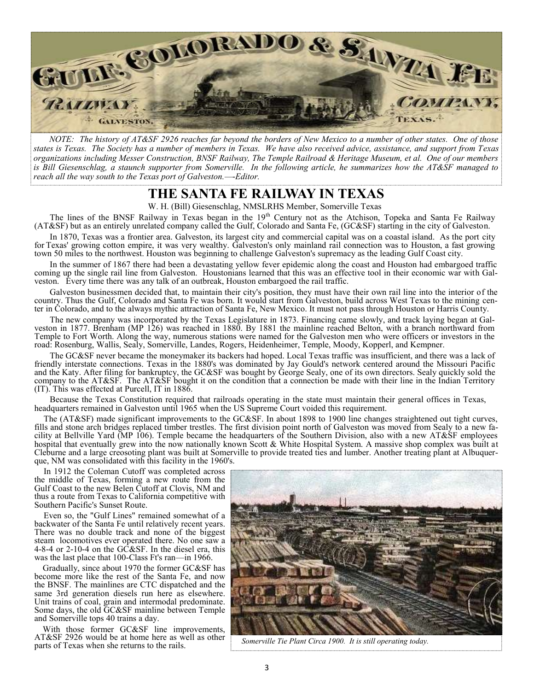

*NOTE: The history of AT&SF 2926 reaches far beyond the borders of New Mexico to a number of other states. One of those states is Texas. The Society has a number of members in Texas. We have also received advice, assistance, and support from Texas organizations including Messer Construction, BNSF Railway, The Temple Railroad & Heritage Museum, et al. One of our members is Bill Giesenschlag, a staunch supporter from Somerville. In the following article, he summarizes how the AT&SF managed to reach all the way south to the Texas port of Galveston.—-Editor.*

### **THE SANTA FE RAILWAY IN TEXAS**

W. H. (Bill) Giesenschlag, NMSLRHS Member, Somerville Texas

The lines of the BNSF Railway in Texas began in the 19<sup>th</sup> Century not as the Atchison, Topeka and Santa Fe Railway (AT&SF) but as an entirely unrelated company called the Gulf, Colorado and Santa Fe, (GC&SF) starting in the city of Galveston.

In 1870, Texas was a frontier area. Galveston, its largest city and commercial capital was on a coastal island. As the port city for Texas' growing cotton empire, it was very wealthy. Galveston's only mainland rail connection was to Houston, a fast growing town 50 miles to the northwest. Houston was beginning to challenge Galveston's supremacy as the leading Gulf Coast city.

In the summer of 1867 there had been a devastating yellow fever epidemic along the coast and Houston had embargoed traffic coming up the single rail line from Galveston. Houstonians learned that this was an effective tool in their economic war with Galveston. Every time there was any talk of an outbreak, Houston embargoed the rail traffic.

Galveston businessmen decided that, to maintain their city's position, they must have their own rail line into the interior of the country. Thus the Gulf, Colorado and Santa Fe was born. It would start from Galveston, build across West Texas to the mining center in Colorado, and to the always mythic attraction of Santa Fe, New Mexico. It must not pass through Houston or Harris County.

The new company was incorporated by the Texas Legislature in 1873. Financing came slowly, and track laying began at Galveston in 1877. Brenham (MP 126) was reached in 1880. By 1881 the mainline reached Belton, with a branch northward from Temple to Fort Worth. Along the way, numerous stations were named for the Galveston men who were officers or investors in the road: Rosenburg, Wallis, Sealy, Somerville, Landes, Rogers, Heidenheimer, Temple, Moody, Kopperl, and Kempner.

The GC&SF never became the moneymaker its backers had hoped. Local Texas traffic was insufficient, and there was a lack of friendly interstate connections. Texas in the 1880's was dominated by Jay Gould's network centered around the Missouri Pacific and the Katy. After filing for bankruptcy, the GC&SF was bought by George Sealy, one of its own directors. Sealy quickly sold the company to the AT&SF. The AT&SF bought it on the condition that a connection be made with their line in the Indian Territory (IT). This was effected at Purcell, IT in 1886.

Because the Texas Constitution required that railroads operating in the state must maintain their general offices in Texas, headquarters remained in Galveston until 1965 when the US Supreme Court voided this requirement.

The (AT&SF) made significant improvements to the GC&SF. In about 1898 to 1900 line changes straightened out tight curves, fills and stone arch bridges replaced timber trestles. The first division point north of Galveston was moved from Sealy to a new facility at Bellville Yard (MP 106). Temple became the headquarters of the Southern Division, also with a new AT&SF employees hospital that eventually grew into the now nationally known Scott & White Hospital System. A massive shop complex was built at Cleburne and a large creosoting plant was built at Somerville to provide treated ties and lumber. Another treating plant at Albuquerque, NM was consolidated with this facility in the 1960's.

In 1912 the Coleman Cutoff was completed across the middle of Texas, forming a new route from the Gulf Coast to the new Belen Cutoff at Clovis, NM and thus a route from Texas to California competitive with Southern Pacific's Sunset Route.

Even so, the "Gulf Lines" remained somewhat of a backwater of the Santa Fe until relatively recent years. There was no double track and none of the biggest steam locomotives ever operated there. No one saw a 4-8-4 or 2-10-4 on the  $G\hat{C}\&S\hat{F}$ . In the diesel era, this was the last place that 100-Class Ft's ran—in 1966.

Gradually, since about 1970 the former GC&SF has become more like the rest of the Santa Fe, and now the BNSF. The mainlines are CTC dispatched and the same 3rd generation diesels run here as elsewhere. Unit trains of coal, grain and intermodal predominate. Some days, the old GC&SF mainline between Temple and Somerville tops 40 trains a day.

With those former GC&SF line improvements, AT&SF 2926 would be at home here as well as other parts of Texas when she returns to the rails.



Somerville Tie Plant Circa 1900. It is still operating today.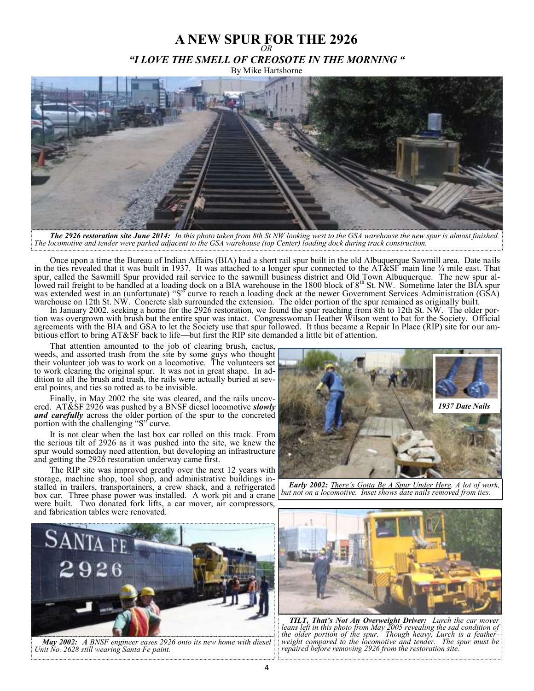# **A NEW SPUR FOR THE 2926** *OR "I LOVE THE SMELL OF CREOSOTE IN THE MORNING "*

By Mike Hartshorne



*The 2926 restoration site June 2014: In this photo taken from 8th St NW looking west to the GSA warehouse the new spur is almost finished. The locomotive and tender were parked adjacent to the GSA warehouse (top Center) loading dock during track construction.* 

Once upon a time the Bureau of Indian Affairs (BIA) had a short rail spur built in the old Albuquerque Sawmill area. Date nails in the ties revealed that it was built in 1937. It was attached to a longer spur connected to the AT&SF main line ¾ mile east. That spur, called the Sawmill Spur provided rail service to the sawmill business district and Old Town Albuquerque. The new spur all-<br>lowed rail freight to be handled at a loading dock on a BIA warehouse in the 1800 block of 8<sup></sup> was extended west in an (unfortunate) "S" curve to reach a loading dock at the newer Government Services Administration (GSA) warehouse on 12th St. NW. Concrete slab surrounded the extension. The older portion of the spur remained as originally built.

In January 2002, seeking a home for the 2926 restoration, we found the spur reaching from 8th to 12th St. NW. The older portion was overgrown with brush but the entire spur was intact. Congresswoman Heather Wilson went to bat for the Society. Official agreements with the BIA and GSA to let the Society use that spur followed. It thus became a Repair In Place (RIP) site for our ambitious effort to bring AT&SF back to life—but first the RIP site demanded a little bit of attention.

That attention amounted to the job of clearing brush, cactus, weeds, and assorted trash from the site by some guys who thought their volunteer job was to work on a locomotive. The volunteers set to work clearing the original spur. It was not in great shape. In addition to all the brush and trash, the rails were actually buried at several points, and ties so rotted as to be invisible.

Finally, in May 2002 the site was cleared, and the rails uncovered. AT&SF 2926 was pushed by a BNSF diesel locomotive *slowly and carefully* across the older portion of the spur to the concreted portion with the challenging "S" curve.

It is not clear when the last box car rolled on this track. From the serious tilt of 2926 as it was pushed into the site, we knew the spur would someday need attention, but developing an infrastructure and getting the 2926 restoration underway came first.

The RIP site was improved greatly over the next 12 years with storage, machine shop, tool shop, and administrative buildings installed in trailers, transportainers, a crew shack, and a refrigerated box car. Three phase power was installed. A work pit and a crane were built. Two donated fork lifts, a car mover, air compressors, and fabrication tables were renovated.



*Early 2002: There's Gotta Be A Spur Under Here. A lot of work, but not on a locomotive. Inset shows date nails removed from ties.*



*May 2002: A BNSF engineer eases 2926 onto its new home with diesel Unit No. 2628 still wearing Santa Fe paint.*



*TILT, That's Not An Overweight Driver: Lurch the car mover leans left in this photo from May 2005 revealing the sad condition of the older portion of the spur. Though heavy, Lurch is a featherwe state portion by the spure modgli heavy, Euren is a feamer* weight compared to the locomotive and tender. The spur must be *repaired before removing 2926 from the restoration site.*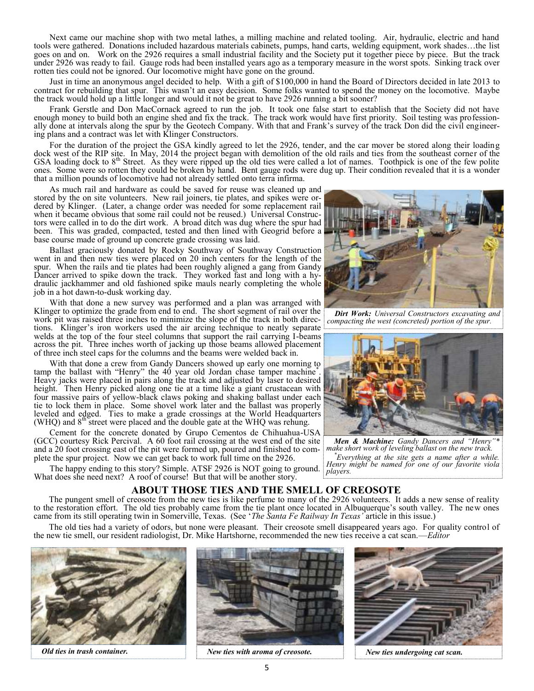Next came our machine shop with two metal lathes, a milling machine and related tooling. Air, hydraulic, electric and hand tools were gathered. Donations included hazardous materials cabinets, pumps, hand carts, welding equipment, work shades…the list goes on and on. Work on the 2926 requires a small industrial facility and the Society put it together piece by piece. But the track under 2926 was ready to fail. Gauge rods had been installed years ago as a temporary measure in the worst spots. Sinking track over rotten ties could not be ignored. Our locomotive might have gone on the ground.

Just in time an anonymous angel decided to help. With a gift of \$100,000 in hand the Board of Directors decided in late 2013 to contract for rebuilding that spur. This wasn't an easy decision. Some folks wanted to spend the money on the locomotive. Maybe the track would hold up a little longer and would it not be great to have 2926 running a bit sooner?

Frank Gerstle and Don MacCornack agreed to run the job. It took one false start to establish that the Society did not have enough money to build both an engine shed and fix the track. The track work would have first priority. Soil testing was professionally done at intervals along the spur by the Geotech Company. With that and Frank's survey of the track Don did the civil engineering plans and a contract was let with Klinger Constructors.

For the duration of the project the GSA kindly agreed to let the 2926, tender, and the car mover be stored along their loading dock west of the RIP site. In May, 2014 the project began with demolition of the old rails and ties from the southeast corner of the GSA loading dock to 8<sup>th</sup> Street. As they were ripped up the old ties were called a lot of names. Toothpick is one of the few polite ones. Some were so rotten they could be broken by hand. Bent gauge rods were dug up. Their condition revealed that it is a wonder that a million pounds of locomotive had not already settled onto terra infirma.

As much rail and hardware as could be saved for reuse was cleaned up and stored by the on site volunteers. New rail joiners, tie plates, and spikes were ordered by Klinger. (Later, a change order was needed for some replacement rail when it became obvious that some rail could not be reused.) Universal Constructors were called in to do the dirt work. A broad ditch was dug where the spur had been. This was graded, compacted, tested and then lined with Geogrid before a base course made of ground up concrete grade crossing was laid.

Ballast graciously donated by Rocky Southway of Southway Construction went in and then new ties were placed on 20 inch centers for the length of the spur. When the rails and tie plates had been roughly aligned a gang from Gandy Dancer arrived to spike down the track. They worked fast and long with a hydraulic jackhammer and old fashioned spike mauls nearly completing the whole job in a hot dawn-to-dusk working day.

With that done a new survey was performed and a plan was arranged with Klinger to optimize the grade from end to end. The short segment of rail over the work pit was raised three inches to minimize the slope of the track in both directions. Klinger's iron workers used the air arcing technique to neatly separate welds at the top of the four steel columns that support the rail carrying I-beams across the pit. Three inches worth of jacking up those beams allowed placement of three inch steel caps for the columns and the beams were welded back in.

With that done a crew from Gandy Dancers showed up early one morning to tamp the ballast with "Henry" the 40 year old Jordan chase tamper machine\* . Heavy jacks were placed in pairs along the track and adjusted by laser to desired height. Then Henry picked along one tie at a time like a giant crustacean with four massive pairs of yellow-black claws poking and shaking ballast under each tie to lock them in place. Some shovel work later and the ballast was properly leveled and edged. Ties to make a grade crossings at the World Headquarters (WHQ) and 8<sup>th</sup> street were placed and the double gate at the WHQ was rehung.

Cement for the concrete donated by Grupo Cementos de Chihuahua-USA (GCC) courtesy Rick Percival. A 60 foot rail crossing at the west end of the site and a 20 foot crossing east of the pit were formed up, poured and finished to complete the spur project. Now we can get back to work full time on the 2926.

The happy ending to this story? Simple. ATSF 2926 is NOT going to ground. What does she need next? A roof of course! But that will be another story.

*Dirt Work: Universal Constructors excavating and compacting the west (concreted) portion of the spur.*



**Men & Machine:** Gandy Dancers and "Henry *make short work of leveling ballast on the new track. \*Everything at the site gets a name after a while. Henry might be named for one of our favorite viola players.* 

#### **ABOUT THOSE TIES AND THE SMELL OF CREOSOTE**

The pungent smell of creosote from the new ties is like perfume to many of the 2926 volunteers. It adds a new sense of reality to the restoration effort. The old ties probably came from the tie plant once located in Albuquerque's south valley. The new ones came from its still operating twin in Somerville, Texas. (See '*The Santa Fe Railway In Texas'* article in this issue.)

The old ties had a variety of odors, but none were pleasant. Their creosote smell disappeared years ago. For quality control of the new tie smell, our resident radiologist, Dr. Mike Hartshorne, recommended the new ties receive a cat scan.—*Editor*





*Old ties in trash container. New ties with aroma of creosote. New ties undergoing cat scan.*

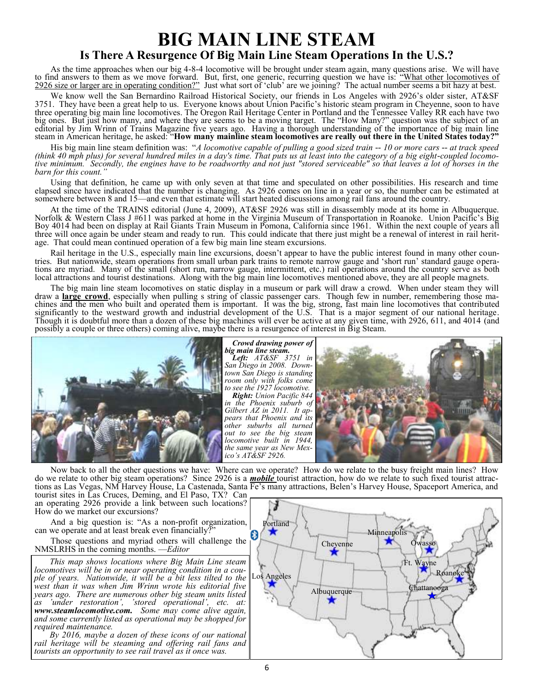# **BIG MAIN LINE STEAM**

### **Is There A Resurgence Of Big Main Line Steam Operations In the U.S.?**

As the time approaches when our big 4-8-4 locomotive will be brought under steam again, many questions arise. We will have to find answers to them as we move forward. But, first, one generic, recurring question we have is: "What other locomotives of 2926 size or larger are in operating condition?" Just what sort of 'club' are we joining? The actual number seems a bit hazy at best.

We know well the San Bernardino Railroad Historical Society, our friends in Los Angeles with 2926's older sister, AT&SF 3751. They have been a great help to us. Everyone knows about Union Pacific's historic steam program in Cheyenne, soon to have three operating big main line locomotives. The Oregon Rail Heritage Center in Portland and the Tennessee Valley RR each have two big ones. But just how many, and where they are seems to be a moving target. The "How Many?" question was the subject of an editorial by Jim Wrinn of Trains Magazine five years ago. Having a thorough understanding of the importance of big main line steam in American heritage, he asked: "**How many mainline steam locomotives are really out there in the United States today?"**

His big main line steam definition was: "*A locomotive capable of pulling a good sized train -- 10 or more cars -- at track speed (think 40 mph plus) for several hundred miles in a day's time. That puts us at least into the category of a big eight-coupled locomotive minimum. Secondly, the engines have to be roadworthy and not just "stored serviceable" so that leaves a lot of horses in the barn for this count.* 

Using that definition, he came up with only seven at that time and speculated on other possibilities. His research and time elapsed since have indicated that the number is changing. As 2926 comes on line in a year or so, the number can be estimated at somewhere between 8 and 15—and even that estimate will start heated discussions among rail fans around the country.

At the time of the TRAINS editorial (June 4, 2009), AT&SF 2926 was still in disassembly mode at its home in Albuquerque. Norfolk & Western Class J #611 was parked at home in the Virginia Museum of Transportation in Roanoke. Union Pacific's Big Boy 4014 had been on display at Rail Giants Train Museum in Pomona, California since 1961. Within the next couple of years all three will once again be under steam and ready to run. This could indicate that there just might be a renewal of interest in rail heritage. That could mean continued operation of a few big main line steam excursions.

Rail heritage in the U.S., especially main line excursions, doesn't appear to have the public interest found in many other countries. But nationwide, steam operations from small urban park trains to remote narrow gauge and 'short run' standard gauge operations are myriad. Many of the small (short run, narrow gauge, intermittent, etc.) rail operations around the country serve as both local attractions and tourist destinations. Along with the big main line locomotives mentioned above, they are all people magnets.

The big main line steam locomotives on static display in a museum or park will draw a crowd. When under steam they will draw a **large crowd**, especially when pulling s string of classic passenger cars. Though few in number, remembering those machines and the men who built and operated them is important. It was the big, strong, fast main line locomotives that contributed significantly to the westward growth and industrial development of the U.S. That is a major segment of our national heritage. Though it is doubtful more than a dozen of these big machines will ever be active at any given time, with 2926, 611, and 4014 (and possibly a couple or three others) coming alive, maybe there is a resurgence of interest in Big Steam.



#### *Crowd drawing power of big main line steam.*

*Left: AT&SF 3751 in San Diego in 2008. Downtown San Diego is standing room only with folks come to see the 1927 locomotive.*

*Right: Union Pacific 844 in the Phoenix suburb of Gilbert AZ in 2011. It appears that Phoenix and its other suburbs all turned out to see the big steam locomotive built in 1944, the same year as New Mexico's AT&SF 2926.*



Now back to all the other questions we have: Where can we operate? How do we relate to the busy freight main lines? How do we relate to other big steam operations? Since 2926 is a *mobile* tourist attraction, how do we relate to such fixed tourist attractions as Las Vegas, NM Harvey House, La Castenada, Santa Fe's many attractions, Belen's Harvey House, Spaceport America, and

tourist sites in Las Cruces, Deming, and El Paso, TX? Can an operating 2926 provide a link between such locations? How do we market our excursions?

And a big question is: "As a non-profit organization, can we operate and at least break even financially?"

Those questions and myriad others will challenge the NMSLRHS in the coming months. —*Editor*

*This map shows locations where Big Main Line steam locomotives will be in or near operating condition in a couple of years. Nationwide, it will be a bit less tilted to the west than it was when Jim Wrinn wrote his editorial five years ago. There are numerous other big steam units listed as 'under restoration', 'stored operational', etc. at: www.steamlocomotive.com. Some may come alive again, and some currently listed as operational may be shopped for required maintenance.* 

*By 2016, maybe a dozen of these icons of our national rail heritage will be steaming and offering rail fans and tourists an opportunity to see rail travel as it once was.* 

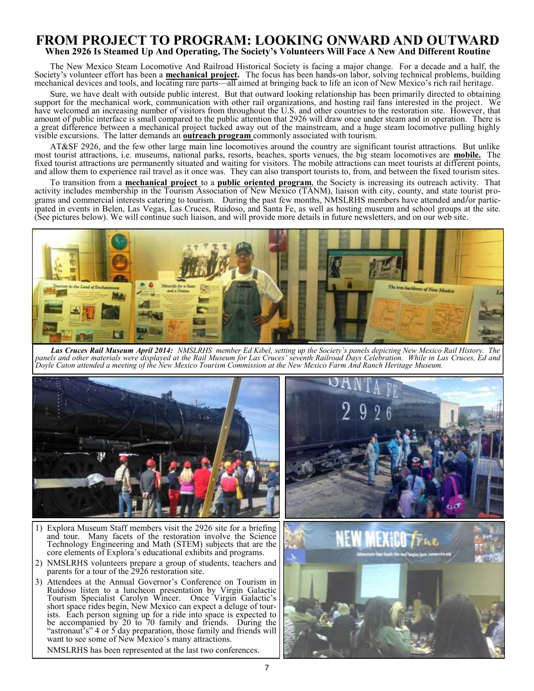#### **FROM PROJECT TO PROGRAM: LOOKING ONWARD AND OUTWARD When 2926 Is Steamed Up And Operating, The Society's Volunteers Will Face A New And Different Routine**

The New Mexico Steam Locomotive And Railroad Historical Society is facing a major change. For a decade and a half, the Society's volunteer effort has been a **mechanical project.** The focus has been hands-on labor, solving technical problems, building mechanical devices and tools, and locating rare parts—all aimed at bringing back to life an icon of New Mexico's rich rail heritage.

Sure, we have dealt with outside public interest. But that outward looking relationship has been primarily directed to obtaining support for the mechanical work, communication with other rail organizations, and hosting rail fans interested in the project. We have welcomed an increasing number of visitors from throughout the U.S. and other countries to the restoration site. However, that amount of public interface is small compared to the public attention that 2926 will draw once under steam and in operation. There is a great difference between a mechanical project tucked away out of the mainstream, and a huge steam locomotive pulling highly visible excursions. The latter demands an **outreach program** commonly associated with tourism.

AT&SF 2926, and the few other large main line locomotives around the country are significant tourist attractions. But unlike most tourist attractions, i.e. museums, national parks, resorts, beaches, sports venues, the big steam locomotives are **mobile.** The fixed tourist attractions are permanently situated and waiting for visitors. The mobile attractions can meet tourists at different points, and allow them to experience rail travel as it once was. They can also transport tourists to, from, and between the fixed tourism sites.

To transition from a **mechanical project** to a **public oriented program**, the Society is increasing its outreach activity. That activity includes membership in the Tourism Association of New Mexico (TANM), liaison with city, county, and state tourist programs and commercial interests catering to tourism. During the past few months, NMSLRHS members have attended and**/**or participated in events in Belen, Las Vegas, Las Cruces, Ruidoso, and Santa Fe, as well as hosting museum and school groups at the site. (See pictures below). We will continue such liaison, and will provide more details in future newsletters, and on our web site.



*Las Cruces Rail Museum April 2014: NMSLRHS member Ed Kibel, setting up the Society's panels depicting New Mexico Rail History. The panels and other materials were displayed at the Rail Museum for Las Cruces' seventh Railroad Days Celebration. While in Las Cruces, Ed and Doyle Caton attended a meeting of the New Mexico Tourism Commission at the New Mexico Farm And Ranch Heritage Museum.* 



- 1) Explora Museum Staff members visit the 2926 site for a briefing and tour. Many facets of the restoration involve the Science Technology Engineering and Math (STEM) subjects that are the core elements of Explora's educational exhibits and programs.
- 2) NMSLRHS volunteers prepare a group of students, teachers and parents for a tour of the 2926 restoration site.
- 3) Attendees at the Annual Governor's Conference on Tourism in Ruidoso listen to a luncheon presentation by Virgin Galactic Tourism Specialist Carolyn Wincer. Once Virgin Galactic's short space rides begin, New Mexico can expect a deluge of tourists. Each person signing up for a ride into space is expected to be accompanied by 20 to 70 family and friends. During the "astronaut's" 4 or 5 day preparation, those family and friends will want to see some of New Mexico's many attractions.

NMSLRHS has been represented at the last two conferences.